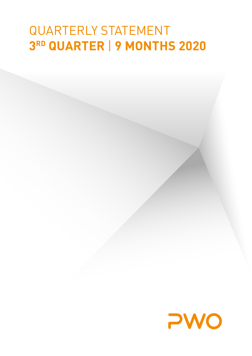# QUARTERLY STATEMENT **3RD QUARTER** | **9 MONTHS 2020**

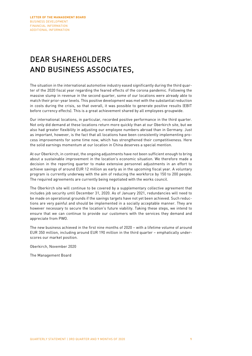### DEAR SHAREHOLDERS AND BUSINESS ASSOCIATES,

The situation in the international automotive industry eased significantly during the third quarter of the 2020 fiscal year regarding the feared effects of the corona pandemic. Following the massive slump in revenue in the second quarter, some of our locations were already able to match their prior-year levels. This positive development was met with the substantial reduction in costs during the crisis, so that overall, it was possible to generate positive results (EBIT before currency effects). This is a great achievement shared by all employees groupwide.

Our international locations, in particular, recorded positive performance in the third quarter. Not only did demand at these locations return more quickly than at our Oberkirch site, but we also had greater flexibility in adjusting our employee numbers abroad than in Germany. Just as important, however, is the fact that all locations have been consistently implementing process improvements for some time now, which has strengthened their competitiveness. Here the solid earnings momentum at our location in China deserves a special mention.

At our Oberkirch, in contrast, the ongoing adjustments have not been sufficient enough to bring about a sustainable improvement in the location's economic situation. We therefore made a decision in the reporting quarter to make extensive personnel adjustments in an effort to achieve savings of around EUR 12 million as early as in the upcoming fiscal year. A voluntary program is currently underway with the aim of reducing the workforce by 150 to 200 people. The required agreements are currently being negotiated with the works council.

The Oberkirch site will continue to be covered by a supplementary collective agreement that includes job security until December 31, 2020. As of January 2021, redundancies will need to be made on operational grounds if the savings targets have not yet been achieved. Such reductions are very painful and should be implemented in a socially acceptable manner. They are however necessary to secure the location's future viability. Taking these steps, we intend to ensure that we can continue to provide our customers with the services they demand and appreciate from PWO.

The new business achieved in the first nine months of 2020 – with a lifetime volume of around EUR 350 million, including around EUR 190 million in the third quarter – emphatically underscores our market position.

Oberkirch, November 2020

The Management Board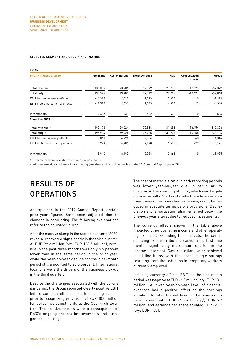#### **SELECTED SEGMENT AND GROUP INFORMATION**

| <b>EURK</b>                     |           |                       |                      |        |                                 |          |
|---------------------------------|-----------|-----------------------|----------------------|--------|---------------------------------|----------|
| First 9 months of 2020          | Germany   | <b>Rest of Europe</b> | <b>North America</b> | Asia   | <b>Consolidation</b><br>effects | Group    |
| Total revenue <sup>1</sup>      | 138,039   | 43,906                | 57,849               | 29,713 | $-12,128$                       | 257,379  |
| Total output                    | 138,527   | 43,906                | 57,849               | 29,713 | $-12,127$                       | 257,868  |
| EBIT before currency effects    | $-11,317$ | 2,027                 | 1,313                | 5,058  | 0                               | $-2,919$ |
| EBIT including currency effects | $-12,572$ | 2,031                 | 1,343                | 4,828  | 22                              | $-4,348$ |
| Investments                     | 2,487     | 933                   | 6,522                | 622    | 0                               | 10,564   |
| 9 months 2019                   |           |                       |                      |        |                                 |          |
| Total revenue <sup>1,2</sup>    | 195,174   | 59,024                | 75,984               | 31,296 | $-16, 154$                      | 345,324  |
| Total output                    | 195,984   | 59,024                | 75,985               | 31,297 | $-16, 154$                      | 346,136  |
| EBIT before currency effects    | 5,061     | 4,994                 | 2,904                | 1,403  | -48                             | 14,314   |
| EBIT including currency effects | 3,729     | 4,981                 | 2,890                | 1,598  | $-77$                           | 13,121   |
| Investments                     | 9,940     | 6,195                 | 5,324                | 2,466  | 0                               | 23,925   |

<sup>1</sup> External revenue are shown in the "Group" column.

<sup>2</sup> Adjustments due to change in accounting (see the section on inventories in the 2019 Annual Report, page 65).

## RESULTS OF **OPERATIONS**

As explained in the 2019 Annual Report, certain prior-year figures have been adjusted due to changes in accounting. The following explanations refer to the adjusted figures.

After the massive slump in the second quarter of 2020, revenue recovered significantly in the third quarter. At EUR 99.2 million (p/y: EUR 108.5 million), revenue in the past three months was only 8.5 percent lower than in the same period in the prior year, while the year-on-year decline for the nine-month period still amounted to 25.5 percent. International locations were the drivers of the business pick-up in the third quarter.

Despite the challenges associated with the corona pandemic, the Group reported clearly positive EBIT before currency effects in both reporting periods prior to recognizing provisions of EUR 10.0 million for personnel adjustments at the Oberkirch location. The positive results were a consequence of PWO's ongoing process improvements and stringent cost-cutting.

The cost of materials ratio in both reporting periods was lower year-on-year due, in particular, to changes in the sourcing of tools, which was largely done externally. Staff costs, which are less variable than many other operating expenses, could be reduced in absolute terms before provisions. Depreciation and amortization also remained below the previous year's level due to reduced investments.

The currency effects shown in the table above impacted other operating income and other operating expenses. Excluding these effects, the corresponding expense ratio decreased in the first nine months significantly more than reported in the income statement. Cost reductions were achieved in all line items, with the largest single savings resulting from the reduction in temporary workers currently employed.

Including currency effects, EBIT for the nine-month period was negative at EUR -4.3 million (p/y: EUR 13.1 million). A lower year-on-year level of financial expenses had a positive effect on the earnings situation. In total, the net loss for the nine-month period amounted to EUR -6.8 million (p/y: EUR 5.7 million) and earnings per share equaled EUR -2.17 (p/y: EUR 1.83).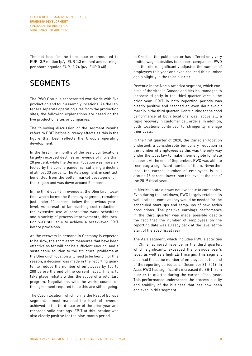The net loss for the third quarter amounted to EUR -3.9 million (p/y: EUR 1.3 million) and earnings per share equaled EUR -1.24 (p/y: EUR 0.40).

### **SEGMENTS**

The PWO Group is represented worldwide with five production and four assembly locations. As the latter are separate operating sites from the production sites, the following explanations are based on the five production sites or companies.

The following discussion of the segment results refers to EBIT before currency effects as this is the figure that best reflects the Group's operating development.

In the first nine months of the year, our locations largely recorded declines in revenue of more than 20 percent, while the German location was more effected by the corona pandemic, suffering a decline of almost 30 percent. The Asia segment, in contrast, benefitted from the better market development in that region and was down around 5 percent.

In the third quarter, revenue at the Oberkirch location, which forms the Germany segment, remained just under 20 percent below the previous vear's level. As a result of far-reaching cost reductions, the extensive use of short-time work schedules and a variety of process improvements, this location was still able to achieve a break-even EBIT before provisions.

As the recovery in demand in Germany is expected to be slow, the short-term measures that have been effective so far will not be sufficient enough, and a sustainable solution to the structural problems at the Oberkirch location will need to be found. For this reason, a decision was made in the reporting quarter to reduce the number of employees by 150 to 200 before the end of the current fiscal. This is to take place initially within the scope of a voluntary program. Negotiations with the works council on the agreement required to do this are still ongoing.

The Czech location, which forms the Rest of Europe segment, almost matched the level of revenue achieved in the third quarter of the prior year and recorded solid earnings. EBIT at this location was also clearly positive for the nine-month period.

In Czechia, the public sector has offered only very limited wage subsidies to support companies. PWO has therefore significantly adjusted the number of employees this year and even reduced this number again slightly in the third quarter.

Revenue in the North America segment, which consists of the sites in Canada and Mexico, managed to increase slightly in the third quarter versus the prior year. EBIT in both reporting periods was clearly positive and reached an even double-digit margin in the third quarter. Contributing to the good performance at both locations was, above all, a rapid recovery in customer call orders. In addition, both locations continued to stringently manage their costs.

In the first quarter of 2020, the Canadian location undertook a considerable temporary reduction in the number of employees as this was the only way under the local law to make them eligible for state support. At the end of September, PWO was able to reemploy a significant number of them. Nevertheless, the current number of employees is still around 15 percent lower than the level at the end of the 2019 fiscal year.

In Mexico, state aid was not available to companies. Even during the lockdown, PWO largely retained its well-trained teams as they would be needed for the scheduled start-ups and ramp-ups of new series productions. The positive earnings performance in the third quarter was made possible despite the fact that the number of employees on the reporting date was already back at the level at the start of the 2020 fiscal year.

The Asia segment, which includes PWO's activities in China, achieved revenue in the third quarter, which significantly exceeded the previous year's level, as well as a high EBIT margin. This segment also had the same number of employees at the end of the reporting period as on December 31, 2019. In Asia, PWO has significantly increased its EBIT from quarter to quarter during the current fiscal year. This performance underscores the process quality and stability of the business that has now been achieved in this segment.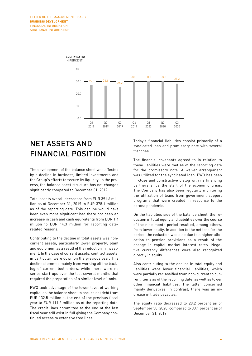

#### **EQUITY RATIO** IN PERCENT

### NET ASSETS AND FINANCIAL POSITION

The development of the balance sheet was affected by a decline in business, limited investments and the Group's efforts to secure its liquidity. In the process, the balance sheet structure has not changed significantly compared to December 31, 2019.

Total assets overall decreased from EUR 391.6 million as of December 31, 2019 to EUR 378.1 million as of the reporting date. This decline would have been even more significant had there not been an increase in cash and cash equivalents from EUR 1.4 million to EUR 14.3 million for reporting daterelated reasons.

Contributing to the decline in total assets was noncurrent assets, particularly lower property, plant and equipment as a result of the reduction in investment. In the case of current assets, contract assets, in particular, were down on the previous year. This decline stemmed mainly from working off the backlog of current tool orders, while there were no series start-ups over the last several months that required the preparation of a similar level of tools.

PWO took advantage of the lower level of working capital on the balance sheet to reduce net debt from EUR 132.5 million at the end of the previous fiscal year to EUR 111.2 million as of the reporting date. The credit lines committee at the end of the last fiscal year still exist in full giving the Company continued access to extensive free lines.

Today's financial liabilities consist primarily of a syndicated loan and promissory note with several tranches.

The financial covenants agreed to in relation to these liabilities were met as of the reporting date for the promissory note. A waiver arrangement was utilized for the syndicated loan. PWO has been in close and constructive dialog with its financing partners since the start of the economic crisis. The Company has also been regularly monitoring the utilization of loans from government support programs that were created in response to the corona pandemic.

On the liabilities side of the balance sheet, the reduction in total equity and liabilities over the course of the nine-month period resulted, among others, from lower equity. In addition to the net loss for the period, the reduction was also due to a higher allocation to pension provisions as a result of the change in capital market interest rates. Negative currency differences were also recognized directly in equity.

Also contributing to the decline in total equity and liabilities were lower financial liabilities, which were partially reclassified from non-current to current items as of the reporting date, as well as lower other financial liabilities. The latter concerned mainly derivatives. In contrast, there was an increase in trade payables.

The equity ratio decreased to 28.2 percent as of September 30, 2020, compared to 30.1 percent as of December 31, 2019.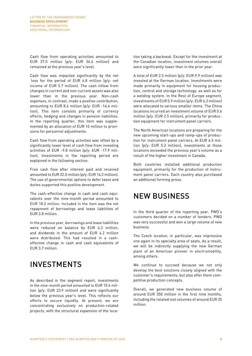Cash flow from operating activities amounted to EUR 37.0 million (p/y: EUR 36.4 million) and remained at the previous year's level.

Cash flow was impacted significantly by the net loss for the period of EUR 6.8 million (p/y: net income of EUR 5.7 million). The cash inflow from changes in current and non-current assets was also lower than in the previous year. Non-cash expenses, in contrast, made a positive contribution, amounting to EUR 8.6 million (p/y: EUR -14.4 million). This item consists primarily of currency effects, hedging and changes in pension liabilities. In the reporting quarter, this item was supplemented by an allocation of EUR 10 million to provisions for personnel adjustments.

Cash flow from operating activities was offset by a significantly lower level of cash flow from investing activities of EUR -9.8 million (p/y: EUR -17.9 million). Investments in the reporting period are explained in the following section.

Free cash flow after interest paid and received amounted to EUR 22.0 million (p/y: EUR 14.2 million). The use of governmental options to defer taxes and duties supported this positive development.

The cash-effective change in cash and cash equivalents over the nine-month period amounted to EUR 18.2 million. Included in the item was the net repayment of borrowings and lease liabilities of EUR 3.8 million.

In the previous year, borrowings and lease liabilities were reduced on balance by EUR 6.3 million, and dividends in the amount of EUR 4.2 million were distributed. This had resulted in a casheffective change in cash and cash equivalents of EUR 3.7 million.

### INVESTMENTS

As described in the segment report, investments in the nine-month period amounted to EUR 10.6 million (p/y: EUR 23.9 million) and were significantly below the previous year's level. This reflects our efforts to secure liquidity. At present, we are concentrating exclusively on production-related projects, with the structural expansion of the loca-

tion taking a backseat. Except for the investment at the Canadian location, investment volumes overall were significantly lower than in the prior year.

A total of EUR 2.5 million (p/y: EUR 9.9 million) was invested at the German location. Investments were made primarily in equipment for housing production, control and storage technology, as well as for a welding system. In the Rest of Europe segment, investments of EUR 0.9 million (p/y: EUR 6.2 million) were allocated to various smaller items. The China locations incurred an investment volume of EUR 0.6 million (p/y: EUR 2.5 million), primarily for production equipment for instrument panel carriers.

The North American locations are preparing for the new upcoming start-ups and ramp-ups of production for instrument panel carriers. At EUR 6.5 million (p/y: EUR 5.3 million), investments at those locations exceeded the previous year's volume as a result of the higher investment in Canada.

Both countries installed additional production equipment, primarily for the production of instrument panel carriers. Each country also purchased an additional forming press.

### NEW BUSINESS

In the third quarter of the reporting year, PWO's customers decided on a number of tenders. PWO was very successful and won a large volume of new business.

The Czech location, in particular, was impressive one again in its specialty area of seats. As a result, we will be indirectly supplying the new German plant of an American pioneer in electromobility, among others.

We continue to succeed because we not only develop the best solutions closely aligned with the customer's requirements, but also offer them competitive production concepts.

Overall, we generated new business volume of around EUR 350 million in the first nine months, including the related tool volumes of around EUR 25 million.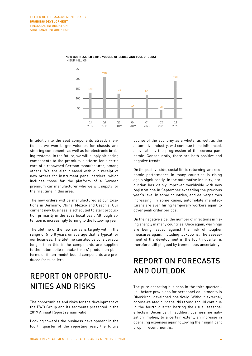

#### **NEW BUSINESS (LIFETIME VOLUME OF SERIES AND TOOL ORDERS)** IN EUR MILLION

In addition to the seat components already mentioned, we won larger volumes for chassis and steering components as well as for electronic braking systems. In the future, we will supply air spring components to the premium platform for electric cars of a renowned German manufacturer, among others. We are also pleased with our receipt of new orders for instrument panel carriers, which includes those for the platform of a German premium car manufacturer who we will supply for the first time in this area.

The new orders will be manufactured at our locations in Germany, China, Mexico and Czechia. Our current new business is scheduled to start production primarily in the 2022 fiscal year. Although attention is increasingly turning to the following year.

The lifetime of the new series is largely within the range of 5 to 8 years on average that is typical for our business. The lifetime can also be considerably longer than this if the components are supplied to the automobile manufacturers' production platforms or if non-model-bound components are produced for suppliers.

### REPORT ON OPPORTU-NITIES AND RISKS

The opportunities and risks for the development of the PWO Group and its segments presented in the 2019 Annual Report remain valid.

Looking towards the business development in the fourth quarter of the reporting year, the future

course of the economy as a whole, as well as the automotive industry, will continue to be influenced, above all, by the progression of the corona pandemic. Consequently, there are both positive and negative trends.

On the positive side, social life is returning, and economic performance in many countries is rising again significantly. In the automotive industry, production has visibly improved worldwide with new registrations in September exceeding the previous year's level in some countries, and delivery times increasing. In some cases, automobile manufacturers are even hiring temporary workers again to cover peak order periods.

On the negative side, the number of infections is rising sharply in many countries. Once again, warnings are being issued against the risk of tougher measures again, including lockdowns. The assessment of the development in the fourth quarter is therefore still plagued by tremendous uncertainty.

### REPORT ON FORECASTS AND OUTLOOK

The pure operating business in the third quarter i.e., before provisions for personnel adjustments in Oberkirch, developed positively. Without external, corona-related burdens, this trend should continue in the fourth quarter barring the usual seasonal effects in December. In addition, business normalization implies, to a certain extent, an increase in operating expenses again following their significant drop in recent months.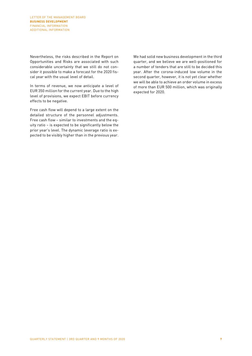Nevertheless, the risks described in the Report on Opportunities and Risks are associated with such considerable uncertainty that we still do not consider it possible to make a forecast for the 2020 fiscal year with the usual level of detail.

In terms of revenue, we now anticipate a level of EUR 350 million for the current year. Due to the high level of provisions, we expect EBIT before currency effects to be negative.

Free cash flow will depend to a large extent on the detailed structure of the personnel adjustments. Free cash flow – similar to investments and the equity ratio – is expected to be significantly below the prior year's level. The dynamic leverage ratio is expected to be visibly higher than in the previous year.

We had solid new business development in the third quarter, and we believe we are well-positioned for a number of tenders that are still to be decided this year. After the corona-induced low volume in the second quarter, however, it is not yet clear whether we will be able to achieve an order volume in excess of more than EUR 500 million, which was originally expected for 2020.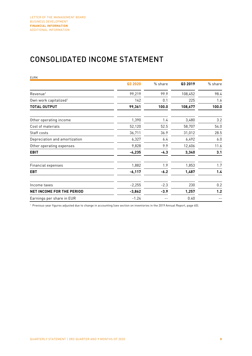### CONSOLIDATED INCOME STATEMENT

| <b>EURK</b>                       |          |         |         |         |
|-----------------------------------|----------|---------|---------|---------|
|                                   | Q3 2020  | % share | Q3 2019 | % share |
| Revenue <sup>1</sup>              | 99,219   | 99.9    | 108,452 | 98.4    |
| Own work capitalized <sup>1</sup> | 142      | 0.1     | 225     | 1.6     |
| TOTAL OUTPUT                      | 99,361   | 100.0   | 108,677 | 100.0   |
| Other operating income            | 1,390    | 1.4     | 3,480   | 3.2     |
| Cost of materials                 | 52,120   | 52.5    | 58,707  | 54.0    |
| Staff costs                       | 36,711   | 36.9    | 31,012  | 28.5    |
| Depreciation and amortization     | 6,327    | 6.4     | 6,492   | 6.0     |
| Other operating expenses          | 9,828    | 9.9     | 12,606  | 11.6    |
| <b>EBIT</b>                       | $-4,235$ | $-4.3$  | 3,340   | 3.1     |
| Financial expenses                | 1,882    | 1.9     | 1,853   | 1.7     |
| <b>EBT</b>                        | $-6,117$ | $-6.2$  | 1,487   | 1.4     |
| Income taxes                      | $-2,255$ | $-2.3$  | 230     | 0.2     |
| <b>NET INCOME FOR THE PERIOD</b>  | $-3,862$ | $-3.9$  | 1,257   | 1.2     |
| Earnings per share in EUR         | $-1.24$  |         | 0.40    |         |

<sup>1</sup> Previous-year figures adjusted due to change in accounting (see section on inventories in the 2019 Annual Report, page 65).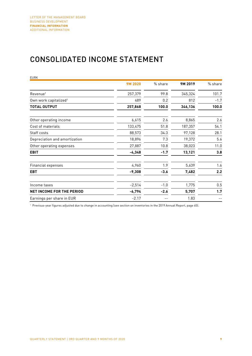### CONSOLIDATED INCOME STATEMENT

| <b>EURK</b>                       |          |         |         |         |
|-----------------------------------|----------|---------|---------|---------|
|                                   | 9M 2020  | % share | 9M 2019 | % share |
| Revenue <sup>1</sup>              | 257,379  | 99.8    | 345,324 | 101.7   |
| Own work capitalized <sup>1</sup> | 489      | 0.2     | 812     | $-1.7$  |
| <b>TOTAL OUTPUT</b>               | 257,868  | 100.0   | 346,136 | 100.0   |
| Other operating income            | 6,615    | 2.6     | 8,865   | 2.6     |
| Cost of materials                 | 133,475  | 51.8    | 187,357 | 54.1    |
| Staff costs                       | 88,573   | 34.3    | 97,128  | 28.1    |
| Depreciation and amortization     | 18,896   | 7.3     | 19,372  | 5.6     |
| Other operating expenses          | 27,887   | 10.8    | 38,023  | 11.0    |
| <b>EBIT</b>                       | $-4,348$ | $-1.7$  | 13,121  | 3.8     |
| Financial expenses                | 4,960    | 1.9     | 5,639   | 1.6     |
| <b>EBT</b>                        | $-9,308$ | $-3.6$  | 7,482   | 2.2     |
| Income taxes                      | $-2,514$ | $-1.0$  | 1,775   | 0.5     |
| <b>NET INCOME FOR THE PERIOD</b>  | $-6,794$ | $-2.6$  | 5,707   | 1.7     |
| Earnings per share in EUR         | $-2.17$  |         | 1.83    |         |

<sup>1</sup> Previous-year figures adjusted due to change in accounting (see section on inventories in the 2019 Annual Report, page 65).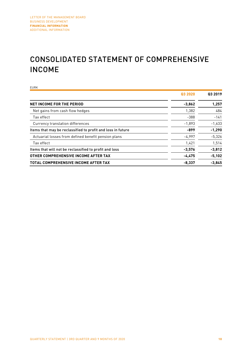### CONSOLIDATED STATEMENT OF COMPREHENSIVE INCOME

EURK **Q3 2020 Q3 2019 NET INCOME FOR THE PERIOD 1,257** Net gains from cash flow hedges 1,382 484  $\frac{388}{2}$  -141 Currency translation differences  $-1,893$  -1,633 Items that may be reclassified to profit and loss in future **-899** -1,290 Actuarial losses from defined benefit pension plans - 1997 -5,326 -5,326  $\frac{1}{4}$  Tax effect and the contract of the contract of the contract of the contract of the contract of the contract of the contract of the contract of the contract of the contract of the contract of the contract of the Items that will not be reclassified to profit and loss **-3,576 -3,812 OTHER COMPREHENSIVE INCOME AFTER TAX -4,475 -5,102 TOTAL COMPREHENSIVE INCOME AFTER TAX -8,337 -3,845**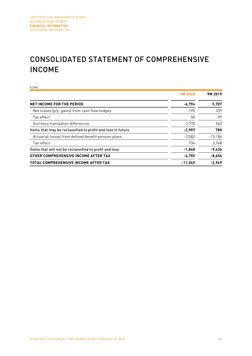### CONSOLIDATED STATEMENT OF COMPREHENSIVE INCOME

EURK **9M 2020 9M 2019 NET INCOME FOR THE PERIOD 6,794 5,707** Net losses (p/y: gains) from cash flow hedges -195 -195 339 Tax effect 58 -99 Currency translation differences  $-2,770$  540 Items that may be reclassified to profit and loss in future **1998 12,907 12,907 780** Actuarial losses from defined benefit pension plans and the state of the case of  $-2,582$  -13,184  $\frac{1}{3}$ Tax effect  $\frac{3}{4}$ Items that will not be reclassified to profit and loss **-1,848 -9,436 OTHER COMPREHENSIVE INCOME AFTER TAX -4,755 -8,656 TOTAL COMPREHENSIVE INCOME AFTER TAX -11,549 -2,949**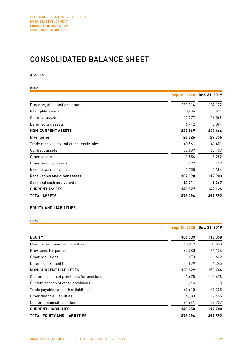### CONSOLIDATED BALANCE SHEET

### **ASSETS**

| <b>EURK</b>                             |               |               |
|-----------------------------------------|---------------|---------------|
|                                         | Sep. 30, 2020 | Dec. 31, 2019 |
| Property, plant and equipment           | 191,314       | 202,122       |
| Intangible assets                       | 10,436        | 10,691        |
| Contract assets                         | 11,377        | 16,569        |
| Deferred tax assets                     | 16,442        | 13,084        |
| <b>NON-CURRENT ASSETS</b>               | 229,569       | 242,466       |
| Inventories                             | 26,826        | 27,856        |
| Trade receivables and other receivables | 40,961        | 41,401        |
| Contract assets                         | 53,889        | 67,407        |
| Other assets                            | 9,556         | 9,252         |
| Other financial assets                  | 1,229         | 459           |
| Income tax receivables                  | 1,755         | 1,384         |
| Receivables and other assets            | 107,390       | 119,903       |
| Cash and cash equivalents               | 14,311        | 1,367         |
| <b>CURRENT ASSETS</b>                   | 148,527       | 149,126       |
| <b>TOTAL ASSETS</b>                     | 378,096       | 391,592       |

### **EQUITY AND LIABILITIES**

EURK

|                                            | Sep. 30, 2020 | Dec. 31, 2019 |
|--------------------------------------------|---------------|---------------|
| <b>EQUITY</b>                              | 106,509       | 118,058       |
| Non-current financial liabilities          | 63,847        | 89,633        |
| Provisions for pensions                    | 64,280        | 61,126        |
| Other provisions                           | 1,873         | 1,642         |
| Deferred tax liabilities                   | 829           | 1,345         |
| <b>NON-CURRENT LIABILITIES</b>             | 130,829       | 153,746       |
| Current portion of provisions for pensions | 1,678         | 1,678         |
| Current portion of other provisions        | 1,446         | 1,113         |
| Trade payables and other liabilities       | 69,610        | 60,325        |
| Other financial liabilities                | 6,383         | 12,465        |
| Current financial liabilities              | 61,641        | 44,207        |
| <b>CURRENT LIABILITIES</b>                 | 140,758       | 119,788       |
| <b>TOTAL EQUITY AND LIABILITIES</b>        | 378,096       | 391,592       |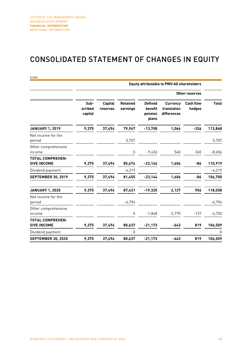### CONSOLIDATED STATEMENT OF CHANGES IN EQUITY

|                                               |                            |                            |                             |                                               | <b>Equity attributable to PWO AG shareholders</b> |                            |              |
|-----------------------------------------------|----------------------------|----------------------------|-----------------------------|-----------------------------------------------|---------------------------------------------------|----------------------------|--------------|
|                                               |                            |                            |                             |                                               |                                                   | Other reserves             |              |
|                                               | Sub-<br>scribed<br>capital | <b>Capital</b><br>reserves | <b>Retained</b><br>earnings | <b>Defined</b><br>benefit<br>pension<br>plans | <b>Currency</b><br>translation<br>differences     | <b>Cash flow</b><br>hedges | <b>Total</b> |
| <b>JANUARY 1, 2019</b>                        | 9,375                      | 37,494                     | 79,967                      | $-13,708$                                     | 1,066                                             | $-326$                     | 113,868      |
| Net income for the<br>period                  |                            |                            | 5,707                       |                                               |                                                   |                            | 5,707        |
| Other comprehensive<br>income                 |                            |                            | $\pmb{0}$                   | $-9,436$                                      | 540                                               | 240                        | $-8,656$     |
| <b>TOTAL COMPREHEN-</b><br><b>SIVE INCOME</b> | 9,375                      | 37,494                     | 85,674                      | $-23,144$                                     | 1,606                                             | -86                        | 110,919      |
| Dividend payment                              |                            |                            | $-4,219$                    |                                               |                                                   |                            | $-4,219$     |
| <b>SEPTEMBER 30, 2019</b>                     | 9,375                      | 37,494                     | 81,455                      | $-23,144$                                     | 1,606                                             | -86                        | 106,700      |
| <b>JANUARY 1, 2020</b>                        | 9,375                      | 37,494                     | 87,431                      | $-19,325$                                     | 2,127                                             | 956                        | 118,058      |
| Net income for the<br>period                  |                            |                            | $-6,794$                    |                                               |                                                   |                            | $-6,794$     |
| Other comprehensive<br>income                 |                            |                            | $\pmb{0}$                   | $-1,848$                                      | $-2,770$                                          | $-137$                     | $-4.755$     |
| <b>TOTAL COMPREHEN-</b><br><b>SIVE INCOME</b> | 9,375                      | 37,494                     | 80,637                      | $-21,173$                                     | -643                                              | 819                        | 106,509      |
| Dividend payment                              |                            |                            | 0                           |                                               |                                                   |                            | 0            |
| <b>SEPTEMBER 30, 2020</b>                     | 9,375                      | 37,494                     | 80,637                      | $-21,173$                                     | $-643$                                            | 819                        | 106,509      |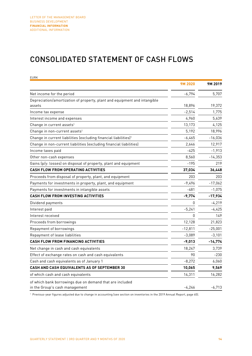### CONSOLIDATED STATEMENT OF CASH FLOWS

| <b>EURK</b>                                                                                |              |           |
|--------------------------------------------------------------------------------------------|--------------|-----------|
|                                                                                            | 9M 2020      | 9M 2019   |
| Net income for the period                                                                  | $-6,794$     | 5,707     |
| Depreciation/amortization of property, plant and equipment and intangible                  |              |           |
| assets                                                                                     | 18,896       | 19,372    |
| Income tax expense                                                                         | $-2,514$     | 1,775     |
| Interest income and expenses                                                               | 4,960        | 5,639     |
| Change in current assets <sup>1</sup>                                                      | 13,173       | 4,125     |
| Change in non-current assets <sup>1</sup>                                                  | 5,192        | 18,996    |
| Change in current liabilities (excluding financial liabilities) <sup>1</sup>               | $-6,465$     | $-16,036$ |
| Change in non-current liabilities (excluding financial liabilities)                        | 2,646        | 12,917    |
| Income taxes paid                                                                          | $-425$       | $-1,913$  |
| Other non-cash expenses                                                                    | 8,560        | $-14,353$ |
| Gains (p/y: losses) on disposal of property, plant and equipment                           | $-195$       | 219       |
| CASH FLOW FROM OPERATING ACTIVITIES                                                        | 37,034       | 36,448    |
| Proceeds from disposal of property, plant, and equipment                                   | 203          | 203       |
| Payments for investments in property, plant, and equipment                                 | $-9,496$     | $-17,062$ |
| Payments for investments in intangible assets                                              | $-481$       | $-1,075$  |
| <b>CASH FLOW FROM INVESTING ACTIVITIES</b>                                                 | $-9,774$     | $-17,934$ |
| Dividend payments                                                                          | 0            | $-4,219$  |
| Interest paid                                                                              | $-5,241$     | $-4,425$  |
| Interest received                                                                          | <sup>0</sup> | 149       |
| Proceeds from borrowings                                                                   | 12,128       | 21,823    |
| Repayment of borrowings                                                                    | $-12,811$    | $-25,001$ |
| Repayment of lease liabilities                                                             | $-3,089$     | $-3,101$  |
| <b>CASH FLOW FROM FINANCING ACTIVITIES</b>                                                 | $-9,013$     | $-14,774$ |
| Net change in cash and cash equivalents                                                    | 18,247       | 3,739     |
| Effect of exchange rates on cash and cash equivalents                                      | 90           | $-230$    |
| Cash and cash equivalents as of January 1                                                  | $-8,272$     | 6,060     |
| <b>CASH AND CASH EQUIVALENTS AS OF SEPTEMBER 30</b>                                        | 10,065       | 9,569     |
| of which cash and cash equivalents                                                         | 14,311       | 16,282    |
| of which bank borrowings due on demand that are included<br>in the Group's cash management | $-4,246$     | $-6,713$  |

<sup>1</sup> Previous-year figures adjusted due to change in accounting (see section on inventories in the 2019 Annual Report, page 65).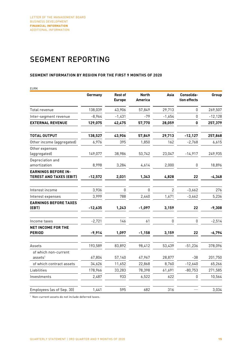### SEGMENT REPORTING

#### **SEGMENT INFORMATION BY REGION FOR THE FIRST 9 MONTHS OF 2020**

| EURK                                                         | Germany   | <b>Rest of</b> | <b>North</b>   | Asia           | Consolida-   | Group     |
|--------------------------------------------------------------|-----------|----------------|----------------|----------------|--------------|-----------|
|                                                              |           | <b>Europe</b>  | <b>America</b> |                | tion effects |           |
| Total revenue                                                | 138,039   | 43,906         | 57,849         | 29,713         | $\mathbf 0$  | 269,507   |
| Inter-segment revenue                                        | $-8,964$  | $-1,431$       | $-79$          | $-1,654$       | 0            | $-12,128$ |
| <b>EXTERNAL REVENUE</b>                                      | 129,075   | 42,475         | 57,770         | 28,059         | 0            | 257,379   |
| <b>TOTAL OUTPUT</b>                                          | 138,527   | 43,906         | 57,849         | 29,713         | $-12,127$    | 257,868   |
| Other income (aggregated)                                    | 6,976     | 395            | 1,850          | 162            | $-2,768$     | 6,615     |
| Other expenses<br>(aggregated)                               | 149,077   | 38,986         | 53,742         | 23,047         | $-14,917$    | 249,935   |
| Depreciation and<br>amortization                             | 8,998     | 3,284          | 4,614          | 2,000          | 0            | 18,896    |
| <b>EARNINGS BEFORE IN-</b><br><b>TEREST AND TAXES (EBIT)</b> | $-12,572$ | 2,031          | 1,343          | 4,828          | 22           | $-4,348$  |
| Interest income                                              | 3,936     | $\mathbf{0}$   | $\mathbf{0}$   | $\overline{2}$ | $-3,662$     | 276       |
| Interest expenses                                            | 3,999     | 788            | 2,440          | 1,671          | $-3,662$     | 5.236     |
| <b>EARNINGS BEFORE TAXES</b><br>(EBT)                        | $-12,635$ | 1,243          | $-1,097$       | 3,159          | 22           | $-9,308$  |
|                                                              |           |                |                |                |              |           |
| Income taxes                                                 | $-2,721$  | 146            | 61             | 0              | 0            | $-2,514$  |
| NET INCOME FOR THE<br><b>PERIOD</b>                          | $-9,914$  | 1,097          | $-1,158$       | 3,159          | 22           | $-6,794$  |
| Assets                                                       | 193,589   | 83,892         | 98,412         | 53,439         | $-51,236$    | 378,096   |
| of which non-current<br>$ases$ <sup>1</sup>                  | 67,804    | 57,140         | 47,967         | 28,877         | -38          | 201,750   |
| of which contract assets                                     | 34,626    | 11,652         | 22,868         | 8,760          | $-12,640$    | 65,266    |
| Liabilities                                                  | 178,966   | 33,283         | 78,398         | 61,691         | $-80,753$    | 271,585   |
| Investments                                                  | 2,487     | 933            | 6,522          | 622            | 0            | 10,564    |
| Employees (as of Sep. 30)                                    | 1,441     | 595            | 682            | 316            |              | 3,034     |

<sup>1</sup> Non-current assets do not include deferred taxes.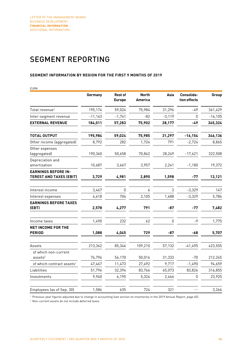### SEGMENT REPORTING

#### **SEGMENT INFORMATION BY REGION FOR THE FIRST 9 MONTHS OF 2019**

| EURK                                                         |           |                                 |                         |          |                            |            |
|--------------------------------------------------------------|-----------|---------------------------------|-------------------------|----------|----------------------------|------------|
|                                                              | Germany   | <b>Rest of</b><br><b>Europe</b> | <b>North</b><br>America | Asia     | Consolida-<br>tion effects | Group      |
| Total revenue $^{\rm 1}$                                     | 195,174   | 59,024                          | 75,984                  | 31,296   | $-49$                      | 361,429    |
| Inter-segment revenue                                        | $-11,163$ | $-1,741$                        | $-82$                   | $-3,119$ | $\mathbf{0}$               | $-16, 105$ |
| <b>EXTERNAL REVENUE</b>                                      | 184,011   | 57,283                          | 75,902                  | 28,177   | -49                        | 345,324    |
| <b>TOTAL OUTPUT</b>                                          | 195,984   | 59,024                          | 75,985                  | 31,297   | $-16,154$                  | 346,136    |
| Other income (aggregated)                                    | 8,792     | 282                             | 1,724                   | 791      | $-2,724$                   | 8,865      |
| Other expenses<br>(aggregated)                               | 190,360   | 50,658                          | 70,862                  | 28,249   | $-17,621$                  | 322,508    |
| Depreciation and<br>amortization                             | 10,687    | 3,667                           | 3,957                   | 2,241    | $-1,180$                   | 19,372     |
| <b>EARNINGS BEFORE IN-</b><br><b>TEREST AND TAXES (EBIT)</b> | 3,729     | 4,981                           | 2,890                   | 1,598    | -77                        | 13,121     |
| Interest income                                              | 3,467     | $\mathbf{0}$                    | 6                       | 3        | $-3,329$                   | 147        |
| Interest expenses                                            | 4,618     | 704                             | 2,105                   | 1,688    | $-3,329$                   | 5,786      |
| <b>EARNINGS BEFORE TAXES</b><br>(EBT)                        | 2,578     | 4,277                           | 791                     | -87      | -77                        | 7,482      |
| Income taxes                                                 | 1,490     | 232                             | 62                      | 0        | -9                         | 1,775      |
| <b>NET INCOME FOR THE</b><br><b>PERIOD</b>                   | 1,088     | 4,045                           | 729                     | -87      | $-68$                      | 5,707      |
| Assets                                                       | 213,362   | 85,346                          | 109,210                 | 57,132   | $-41,495$                  | 423,555    |
| of which non-current<br>$ases$ <sup>2</sup>                  | 74,796    | 56,170                          | 50,016                  | 31,333   | -70                        | 212,245    |
| of which contract assets <sup>1</sup>                        | 47,467    | 11,473                          | 27,492                  | 9,717    | $-1,490$                   | 94,659     |
| Liabilities                                                  | 51,796    | 32,394                          | 83,766                  | 65,073   | 83,826                     | 316,855    |
| Investments                                                  | 9,940     | 6,195                           | 5,324                   | 2,466    | 0                          | 23,925     |
| Employees (as of Sep. 30)                                    | 1,586     | 635                             | 724                     | 321      |                            | 3,266      |

<sup>1</sup> Previous-year figures adjusted due to change in accounting (see section on inventories in the 2019 Annual Report, page 65).

<sup>2</sup> Non-current assets do not include deferred taxes.